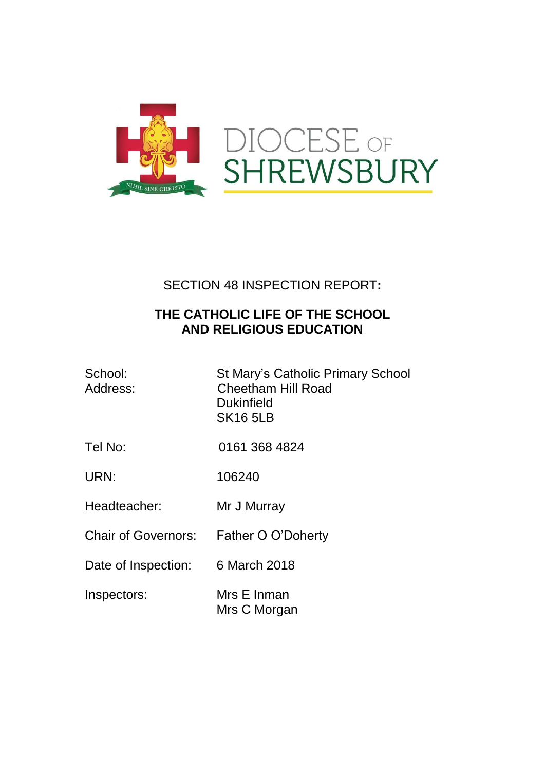

# SECTION 48 INSPECTION REPORT**:**

## **THE CATHOLIC LIFE OF THE SCHOOL AND RELIGIOUS EDUCATION**

| School:  | <b>St Mary's Catholic Primary School</b> |
|----------|------------------------------------------|
| Address: | <b>Cheetham Hill Road</b>                |
|          | <b>Dukinfield</b>                        |
|          | <b>SK16 5LB</b>                          |

- Tel No: 0161 368 4824
- URN: 106240

Headteacher: Mr J Murray

- Chair of Governors: Father O O'Doherty
- Date of Inspection: 6 March 2018
- Inspectors: Mrs E Inman Mrs C Morgan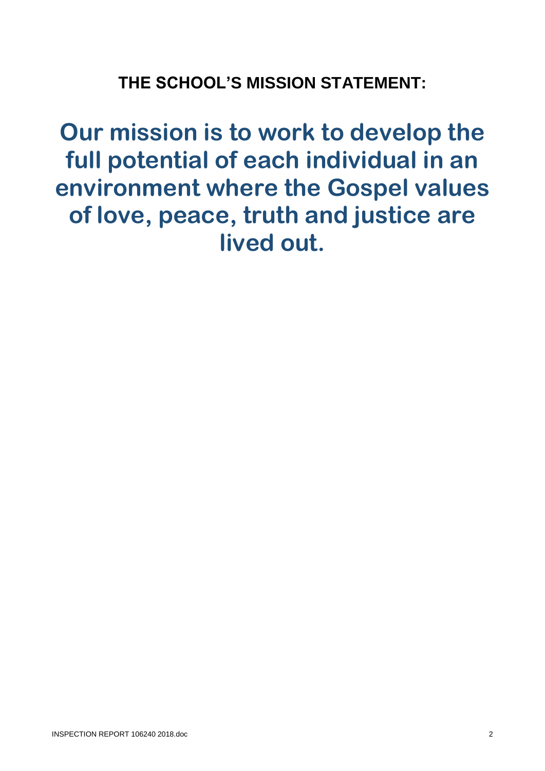**THE SCHOOL'S MISSION STATEMENT:**

**Our mission is to work to develop the full potential of each individual in an environment where the Gospel values of love, peace, truth and justice are lived out.**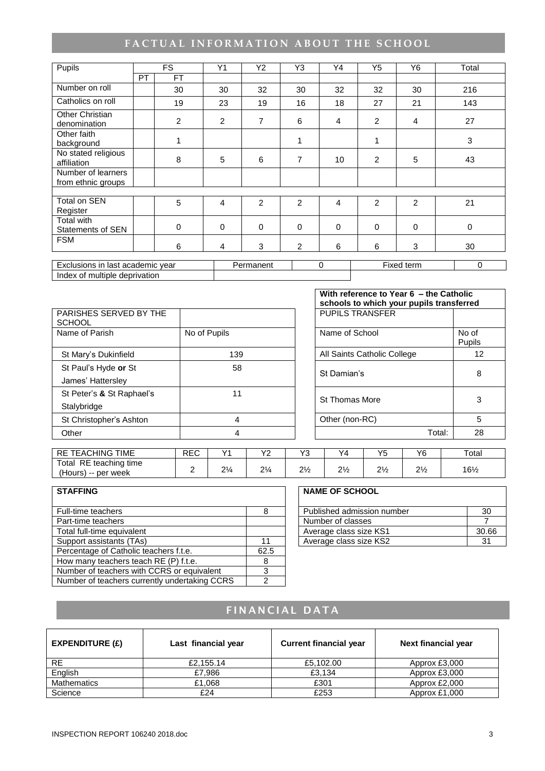# FACTUAL INFORMATION ABOUT THE SCHOOL

| Pupils                                   |    | <b>FS</b> | Y <sub>1</sub> | Y2          | Y <sub>3</sub> | Y4              | Y <sub>5</sub> | Y <sub>6</sub> | Total        |
|------------------------------------------|----|-----------|----------------|-------------|----------------|-----------------|----------------|----------------|--------------|
|                                          | PT | <b>FT</b> |                |             |                |                 |                |                |              |
| Number on roll                           |    | 30        | 30             | 32          | 30             | 32              | 32             | 30             | 216          |
| Catholics on roll                        |    | 19        | 23             | 19          | 16             | 18              | 27             | 21             | 143          |
| Other Christian<br>denomination          |    | 2         | 2              | 7           | 6              | $\overline{4}$  | 2              | 4              | 27           |
| Other faith<br>background                |    | 1         |                |             | 1              |                 | 1              |                | $\mathbf{3}$ |
| No stated religious<br>affiliation       |    | 8         | 5              | 6           | $\overline{7}$ | 10 <sup>1</sup> | 2              | 5              | 43           |
| Number of learners<br>from ethnic groups |    |           |                |             |                |                 |                |                |              |
|                                          |    |           |                |             |                |                 |                |                |              |
| Total on SEN<br>Register                 |    | 5         | 4              | 2           | $\mathcal{P}$  | 4               | 2              | 2              | 21           |
| <b>Total with</b><br>Statements of SEN   |    | 0         | $\mathbf 0$    | $\mathbf 0$ | $\Omega$       | $\mathbf 0$     | $\mathbf 0$    | $\mathbf 0$    | $\mathbf 0$  |
| <b>FSM</b>                               |    | 6         | 4              | 3           | $\overline{2}$ | 6               | 6              | 3              | 30           |
|                                          |    |           |                |             |                |                 |                |                |              |
| Exclusions in last academic year         |    |           |                | Permanent   |                | $\mathbf 0$     |                | Fixed term     | 0            |
| Index of multiple deprivation            |    |           |                |             |                |                 |                |                |              |

PARISHES SERVED BY THE **SCHOOL** Name of Parish No of Pupils St Mary's Dukinfield 139 St Paul's Hyde **or** St James' Hattersley St Peter's **&** St Raphael's Stalybridge St Christopher's Ashton 4 Other 4 Total: 28

|                | With reference to Year 6 - the Catholic<br>schools to which your pupils transferred |                 |
|----------------|-------------------------------------------------------------------------------------|-----------------|
|                | <b>PUPILS TRANSFER</b>                                                              |                 |
|                | Name of School                                                                      | No of<br>Pupils |
| 39             | All Saints Catholic College                                                         | 12              |
| 58             | St Damian's                                                                         | 8               |
| 11             | <b>St Thomas More</b>                                                               | 3               |
| $\overline{4}$ | Other (non-RC)                                                                      | 5               |
| 4              | Total:                                                                              | 28              |

| <b>TIME</b><br>TEACHING<br><b>RE</b>                       | REC | $\sqrt{4}$      | $\sqrt{2}$     | $\sqrt{2}$<br>ັ | Y4         | VE                            | VG           | Total           |
|------------------------------------------------------------|-----|-----------------|----------------|-----------------|------------|-------------------------------|--------------|-----------------|
| RE teaching time<br>Total<br>'Hours)<br>-- per week<br>--- |     | $\sim$<br>4 / 4 | $2\frac{1}{4}$ | $\sim$<br>272   | O1.<br>212 | $\mathbf{C}$<br>$\frac{2}{2}$ | 21/<br>$-72$ | $16\frac{1}{2}$ |

| <b>STAFFING</b>                               |      | <b>NAME OF SCHOOL</b>      |       |
|-----------------------------------------------|------|----------------------------|-------|
| Full-time teachers                            | 8    | Published admission number | 30    |
| Part-time teachers                            |      | Number of classes          |       |
| Total full-time equivalent                    |      | Average class size KS1     | 30.66 |
| Support assistants (TAs)                      | 11   | Average class size KS2     | 31    |
| Percentage of Catholic teachers f.t.e.        | 62.5 |                            |       |
| How many teachers teach RE (P) f.t.e.         |      |                            |       |
| Number of teachers with CCRS or equivalent    |      |                            |       |
| Number of teachers currently undertaking CCRS | ົ    |                            |       |

#### **NAME OF SCHOOL**

| Published admission number | 30    |
|----------------------------|-------|
| Number of classes          |       |
| Average class size KS1     | 30.66 |
| Average class size KS2     | ۹1    |

# **FINANCIAL DATA**

| EXPENDITURE (E) | Last financial year | <b>Current financial year</b> | Next financial year |
|-----------------|---------------------|-------------------------------|---------------------|
| <b>RE</b>       | £2,155.14           | £5,102.00                     | Approx £3,000       |
| English         | £7.986              | £3.134                        | Approx £3,000       |
| Mathematics     | £1,068              | £301                          | Approx £2,000       |
| Science         | £24                 | £253                          | Approx £1,000       |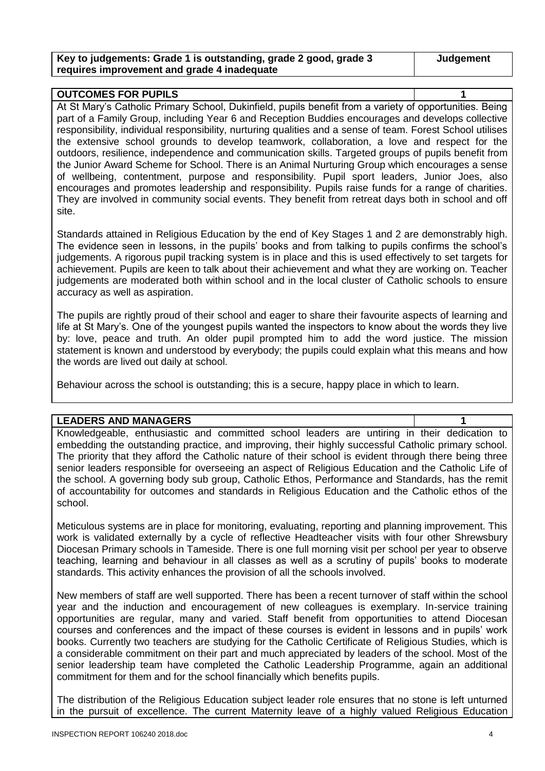| Key to judgements: Grade 1 is outstanding, grade 2 good, grade 3 | <b>Judgement</b> |
|------------------------------------------------------------------|------------------|
| requires improvement and grade 4 inadequate                      |                  |

| <b>OUTCOMES FOR PUPILS</b>                                                                                 |  |
|------------------------------------------------------------------------------------------------------------|--|
| At St Mary's Catholic Primary School, Dukinfield, pupils benefit from a variety of opportunities. Being    |  |
| part of a Family Group, including Year 6 and Reception Buddies encourages and develops collective          |  |
| responsibility, individual responsibility, nurturing qualities and a sense of team. Forest School utilises |  |
| the extensive school grounds to develop teamwork, collaboration, a love and respect for the                |  |
| outdoors, resilience, independence and communication skills. Targeted groups of pupils benefit from        |  |
| the Junior Award Scheme for School. There is an Animal Nurturing Group which encourages a sense            |  |
| of wellbeing, contentment, purpose and responsibility. Pupil sport leaders, Junior Joes, also              |  |
| encourages and promotes leadership and responsibility. Pupils raise funds for a range of charities.        |  |
| They are involved in community social events. They benefit from retreat days both in school and off        |  |
| site.                                                                                                      |  |

Standards attained in Religious Education by the end of Key Stages 1 and 2 are demonstrably high. The evidence seen in lessons, in the pupils' books and from talking to pupils confirms the school's judgements. A rigorous pupil tracking system is in place and this is used effectively to set targets for achievement. Pupils are keen to talk about their achievement and what they are working on. Teacher judgements are moderated both within school and in the local cluster of Catholic schools to ensure accuracy as well as aspiration.

The pupils are rightly proud of their school and eager to share their favourite aspects of learning and life at St Mary's. One of the youngest pupils wanted the inspectors to know about the words they live by: love, peace and truth. An older pupil prompted him to add the word justice. The mission statement is known and understood by everybody; the pupils could explain what this means and how the words are lived out daily at school.

Behaviour across the school is outstanding; this is a secure, happy place in which to learn.

### **LEADERS AND MANAGERS 1**

Knowledgeable, enthusiastic and committed school leaders are untiring in their dedication to embedding the outstanding practice, and improving, their highly successful Catholic primary school. The priority that they afford the Catholic nature of their school is evident through there being three senior leaders responsible for overseeing an aspect of Religious Education and the Catholic Life of the school. A governing body sub group, Catholic Ethos, Performance and Standards, has the remit of accountability for outcomes and standards in Religious Education and the Catholic ethos of the school.

Meticulous systems are in place for monitoring, evaluating, reporting and planning improvement. This work is validated externally by a cycle of reflective Headteacher visits with four other Shrewsbury Diocesan Primary schools in Tameside. There is one full morning visit per school per year to observe teaching, learning and behaviour in all classes as well as a scrutiny of pupils' books to moderate standards. This activity enhances the provision of all the schools involved.

New members of staff are well supported. There has been a recent turnover of staff within the school year and the induction and encouragement of new colleagues is exemplary. In-service training opportunities are regular, many and varied. Staff benefit from opportunities to attend Diocesan courses and conferences and the impact of these courses is evident in lessons and in pupils' work books. Currently two teachers are studying for the Catholic Certificate of Religious Studies, which is a considerable commitment on their part and much appreciated by leaders of the school. Most of the senior leadership team have completed the Catholic Leadership Programme, again an additional commitment for them and for the school financially which benefits pupils.

The distribution of the Religious Education subject leader role ensures that no stone is left unturned in the pursuit of excellence. The current Maternity leave of a highly valued Religious Education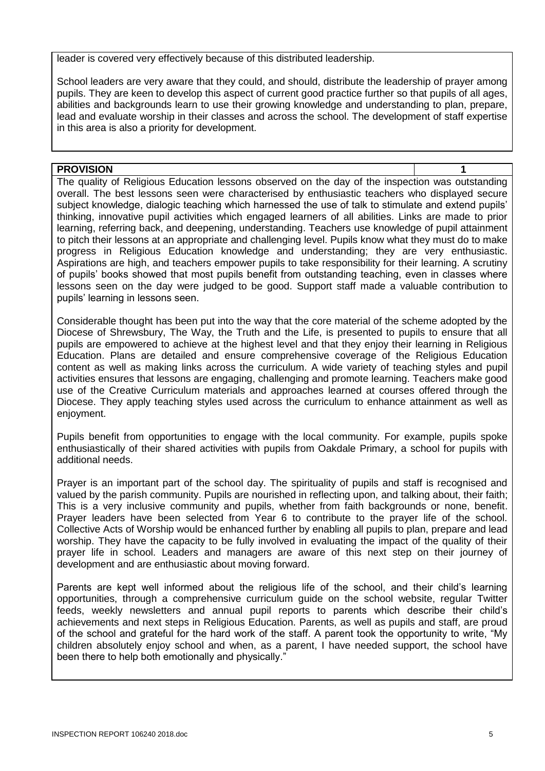leader is covered very effectively because of this distributed leadership.

School leaders are very aware that they could, and should, distribute the leadership of prayer among pupils. They are keen to develop this aspect of current good practice further so that pupils of all ages, abilities and backgrounds learn to use their growing knowledge and understanding to plan, prepare, lead and evaluate worship in their classes and across the school. The development of staff expertise in this area is also a priority for development.

### **PROVISION 1**

The quality of Religious Education lessons observed on the day of the inspection was outstanding overall. The best lessons seen were characterised by enthusiastic teachers who displayed secure subject knowledge, dialogic teaching which harnessed the use of talk to stimulate and extend pupils' thinking, innovative pupil activities which engaged learners of all abilities. Links are made to prior learning, referring back, and deepening, understanding. Teachers use knowledge of pupil attainment to pitch their lessons at an appropriate and challenging level. Pupils know what they must do to make progress in Religious Education knowledge and understanding; they are very enthusiastic. Aspirations are high, and teachers empower pupils to take responsibility for their learning. A scrutiny of pupils' books showed that most pupils benefit from outstanding teaching, even in classes where lessons seen on the day were judged to be good. Support staff made a valuable contribution to pupils' learning in lessons seen.

Considerable thought has been put into the way that the core material of the scheme adopted by the Diocese of Shrewsbury, The Way, the Truth and the Life, is presented to pupils to ensure that all pupils are empowered to achieve at the highest level and that they enjoy their learning in Religious Education. Plans are detailed and ensure comprehensive coverage of the Religious Education content as well as making links across the curriculum. A wide variety of teaching styles and pupil activities ensures that lessons are engaging, challenging and promote learning. Teachers make good use of the Creative Curriculum materials and approaches learned at courses offered through the Diocese. They apply teaching styles used across the curriculum to enhance attainment as well as enjoyment.

Pupils benefit from opportunities to engage with the local community. For example, pupils spoke enthusiastically of their shared activities with pupils from Oakdale Primary, a school for pupils with additional needs.

Prayer is an important part of the school day. The spirituality of pupils and staff is recognised and valued by the parish community. Pupils are nourished in reflecting upon, and talking about, their faith; This is a very inclusive community and pupils, whether from faith backgrounds or none, benefit. Prayer leaders have been selected from Year 6 to contribute to the prayer life of the school. Collective Acts of Worship would be enhanced further by enabling all pupils to plan, prepare and lead worship. They have the capacity to be fully involved in evaluating the impact of the quality of their prayer life in school. Leaders and managers are aware of this next step on their journey of development and are enthusiastic about moving forward.

Parents are kept well informed about the religious life of the school, and their child's learning opportunities, through a comprehensive curriculum guide on the school website, regular Twitter feeds, weekly newsletters and annual pupil reports to parents which describe their child's achievements and next steps in Religious Education. Parents, as well as pupils and staff, are proud of the school and grateful for the hard work of the staff. A parent took the opportunity to write, "My children absolutely enjoy school and when, as a parent, I have needed support, the school have been there to help both emotionally and physically."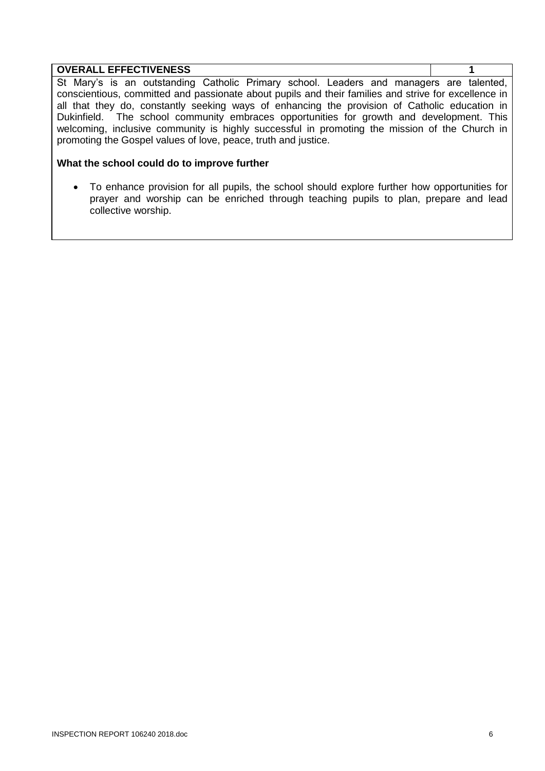| <b>OVERALL EFFECTIVENESS</b>                                                                                                                                    |  |
|-----------------------------------------------------------------------------------------------------------------------------------------------------------------|--|
| St Mary's is an outstanding Catholic Primary school. Leaders and managers are talented,                                                                         |  |
| conscientious, committed and passionate about pupils and their families and strive for excellence in                                                            |  |
| all that they do, constantly seeking ways of enhancing the provision of Catholic education in                                                                   |  |
| Dukinfield. The school community embraces opportunities for growth and development. This                                                                        |  |
| welcoming, inclusive community is highly successful in promoting the mission of the Church in<br>promoting the Gospel values of love, peace, truth and justice. |  |

### **What the school could do to improve further**

 To enhance provision for all pupils, the school should explore further how opportunities for prayer and worship can be enriched through teaching pupils to plan, prepare and lead collective worship.